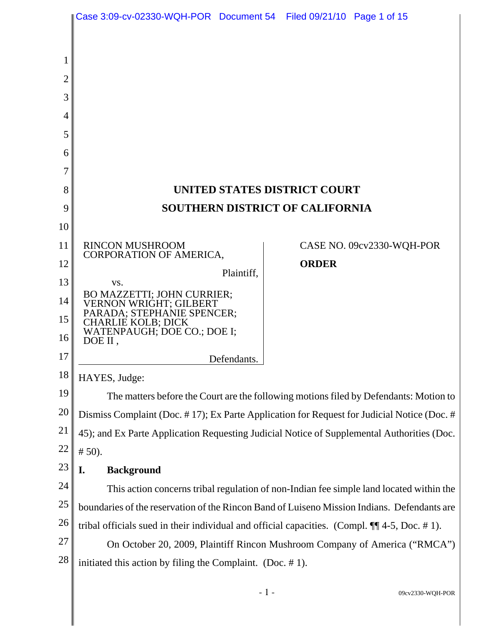|                | Case 3:09-cv-02330-WQH-POR Document 54 Filed 09/21/10 Page 1 of 15                                         |                              |
|----------------|------------------------------------------------------------------------------------------------------------|------------------------------|
|                |                                                                                                            |                              |
| 1              |                                                                                                            |                              |
| $\overline{2}$ |                                                                                                            |                              |
| 3              |                                                                                                            |                              |
|                |                                                                                                            |                              |
| 4<br>5         |                                                                                                            |                              |
| 6              |                                                                                                            |                              |
| 7              |                                                                                                            |                              |
| 8              |                                                                                                            | UNITED STATES DISTRICT COURT |
| 9              | <b>SOUTHERN DISTRICT OF CALIFORNIA</b>                                                                     |                              |
| 10             |                                                                                                            |                              |
| 11             | <b>RINCON MUSHROOM</b>                                                                                     | CASE NO. 09cv2330-WQH-POR    |
| 12             | CORPORATION OF AMERICA,                                                                                    | <b>ORDER</b>                 |
| 13             | Plaintiff,<br>VS.                                                                                          |                              |
| 14             | BO MAZZETTI; JOHN CURRIER;<br>VERNON WRIGHT; GILBERT                                                       |                              |
| 15             | PARADA; STEPHANIE SPENCER;<br><b>CHARLIE KOLB; DICK</b>                                                    |                              |
| 16             | WATENPAUGH; DOE CO.; DOE I;<br>DOE II,                                                                     |                              |
| 17             | Defendants.                                                                                                |                              |
| 18             | HAYES, Judge:                                                                                              |                              |
| 19             | The matters before the Court are the following motions filed by Defendants: Motion to                      |                              |
| 20             | Dismiss Complaint (Doc. #17); Ex Parte Application for Request for Judicial Notice (Doc. #                 |                              |
| 21             | 45); and Ex Parte Application Requesting Judicial Notice of Supplemental Authorities (Doc.                 |                              |
| 22             | # 50.                                                                                                      |                              |
| 23             | <b>Background</b><br>I.                                                                                    |                              |
| 24             | This action concerns tribal regulation of non-Indian fee simple land located within the                    |                              |
| 25             | boundaries of the reservation of the Rincon Band of Luiseno Mission Indians. Defendants are                |                              |
| 26             | tribal officials sued in their individual and official capacities. (Compl. $\P$ $\parallel$ 4-5, Doc. #1). |                              |
| 27             | On October 20, 2009, Plaintiff Rincon Mushroom Company of America ("RMCA")                                 |                              |
| 28             | initiated this action by filing the Complaint. (Doc. $# 1$ ).                                              |                              |
|                |                                                                                                            |                              |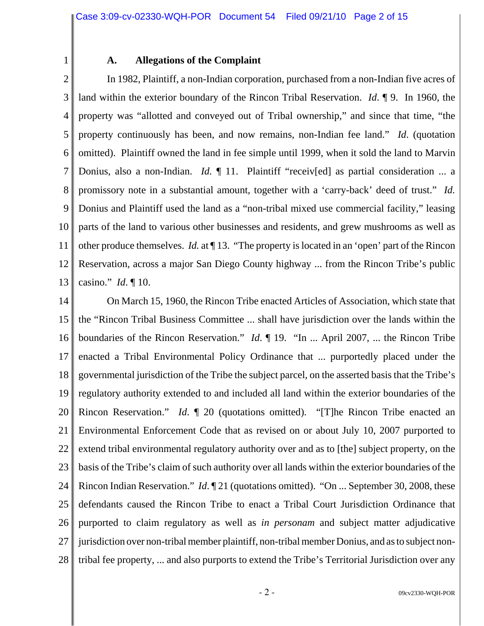1

#### **A. Allegations of the Complaint**

2 3 4 5 6 7 8 9 10 11 12 13 In 1982, Plaintiff, a non-Indian corporation, purchased from a non-Indian five acres of land within the exterior boundary of the Rincon Tribal Reservation. *Id*. ¶ 9. In 1960, the property was "allotted and conveyed out of Tribal ownership," and since that time, "the property continuously has been, and now remains, non-Indian fee land." *Id*. (quotation omitted). Plaintiff owned the land in fee simple until 1999, when it sold the land to Marvin Donius, also a non-Indian. *Id.* ¶ 11. Plaintiff "receiv[ed] as partial consideration ... a promissory note in a substantial amount, together with a 'carry-back' deed of trust." *Id.* Donius and Plaintiff used the land as a "non-tribal mixed use commercial facility," leasing parts of the land to various other businesses and residents, and grew mushrooms as well as other produce themselves. *Id.* at ¶ 13. "The property is located in an 'open' part of the Rincon Reservation, across a major San Diego County highway ... from the Rincon Tribe's public casino." *Id*. ¶ 10.

14 15 16 17 18 19 20 21 22 23 24 25 26 27 28 On March 15, 1960, the Rincon Tribe enacted Articles of Association, which state that the "Rincon Tribal Business Committee ... shall have jurisdiction over the lands within the boundaries of the Rincon Reservation." *Id*. ¶ 19. "In ... April 2007, ... the Rincon Tribe enacted a Tribal Environmental Policy Ordinance that ... purportedly placed under the governmental jurisdiction of the Tribe the subject parcel, on the asserted basis that the Tribe's regulatory authority extended to and included all land within the exterior boundaries of the Rincon Reservation." *Id*. ¶ 20 (quotations omitted). "[T]he Rincon Tribe enacted an Environmental Enforcement Code that as revised on or about July 10, 2007 purported to extend tribal environmental regulatory authority over and as to [the] subject property, on the basis of the Tribe's claim of such authority over all lands within the exterior boundaries of the Rincon Indian Reservation." *Id*. ¶ 21 (quotations omitted). "On ... September 30, 2008, these defendants caused the Rincon Tribe to enact a Tribal Court Jurisdiction Ordinance that purported to claim regulatory as well as *in personam* and subject matter adjudicative jurisdiction over non-tribal member plaintiff, non-tribal member Donius, and as to subject nontribal fee property, ... and also purports to extend the Tribe's Territorial Jurisdiction over any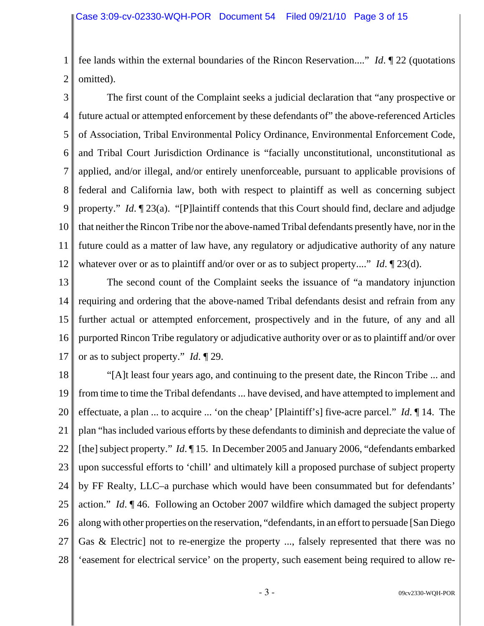1 2 fee lands within the external boundaries of the Rincon Reservation...." *Id*. ¶ 22 (quotations omitted).

3 4 5 6 7 8 9 10 11 12 The first count of the Complaint seeks a judicial declaration that "any prospective or future actual or attempted enforcement by these defendants of" the above-referenced Articles of Association, Tribal Environmental Policy Ordinance, Environmental Enforcement Code, and Tribal Court Jurisdiction Ordinance is "facially unconstitutional, unconstitutional as applied, and/or illegal, and/or entirely unenforceable, pursuant to applicable provisions of federal and California law, both with respect to plaintiff as well as concerning subject property." *Id*. ¶ 23(a). "[P]laintiff contends that this Court should find, declare and adjudge that neither the Rincon Tribe nor the above-named Tribal defendants presently have, nor in the future could as a matter of law have, any regulatory or adjudicative authority of any nature whatever over or as to plaintiff and/or over or as to subject property...." *Id*. [23(d).

13 14 15 16 17 The second count of the Complaint seeks the issuance of "a mandatory injunction requiring and ordering that the above-named Tribal defendants desist and refrain from any further actual or attempted enforcement, prospectively and in the future, of any and all purported Rincon Tribe regulatory or adjudicative authority over or as to plaintiff and/or over or as to subject property." *Id*. ¶ 29.

18 19 20 21 22 23 24 25 26 27 28 "[A]t least four years ago, and continuing to the present date, the Rincon Tribe ... and from time to time the Tribal defendants ... have devised, and have attempted to implement and effectuate, a plan ... to acquire ... 'on the cheap' [Plaintiff's] five-acre parcel." *Id*. ¶ 14. The plan "has included various efforts by these defendants to diminish and depreciate the value of [the] subject property." *Id*. ¶ 15. In December 2005 and January 2006, "defendants embarked upon successful efforts to 'chill' and ultimately kill a proposed purchase of subject property by FF Realty, LLC–a purchase which would have been consummated but for defendants' action." *Id*. ¶ 46. Following an October 2007 wildfire which damaged the subject property along with other properties on the reservation, "defendants, in an effort to persuade [San Diego Gas & Electric] not to re-energize the property ..., falsely represented that there was no 'easement for electrical service' on the property, such easement being required to allow re-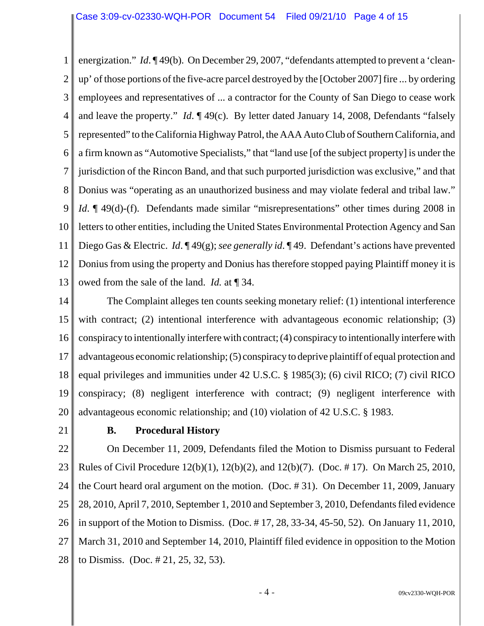1 2 3 4 5 6 7 8 9 10 11 12 13 energization." *Id*. ¶ 49(b). On December 29, 2007, "defendants attempted to prevent a 'cleanup' of those portions of the five-acre parcel destroyed by the [October 2007] fire ... by ordering employees and representatives of ... a contractor for the County of San Diego to cease work and leave the property." *Id*. ¶ 49(c). By letter dated January 14, 2008, Defendants "falsely represented" to the California Highway Patrol, the AAA Auto Club of Southern California, and a firm known as "Automotive Specialists," that "land use [of the subject property] is under the jurisdiction of the Rincon Band, and that such purported jurisdiction was exclusive," and that Donius was "operating as an unauthorized business and may violate federal and tribal law." *Id*. ¶ 49(d)-(f). Defendants made similar "misrepresentations" other times during 2008 in letters to other entities, including the United States Environmental Protection Agency and San Diego Gas & Electric. *Id*. ¶ 49(g); *see generally id*. ¶ 49. Defendant's actions have prevented Donius from using the property and Donius has therefore stopped paying Plaintiff money it is owed from the sale of the land. *Id.* at ¶ 34.

14 15 16 17 18 19 20 The Complaint alleges ten counts seeking monetary relief: (1) intentional interference with contract; (2) intentional interference with advantageous economic relationship; (3) conspiracy to intentionally interfere with contract; (4) conspiracy to intentionally interfere with advantageous economic relationship; (5) conspiracy to deprive plaintiff of equal protection and equal privileges and immunities under 42 U.S.C. § 1985(3); (6) civil RICO; (7) civil RICO conspiracy; (8) negligent interference with contract; (9) negligent interference with advantageous economic relationship; and (10) violation of 42 U.S.C. § 1983.

21

## **B. Procedural History**

22 23 24 25 26 27 28 On December 11, 2009, Defendants filed the Motion to Dismiss pursuant to Federal Rules of Civil Procedure 12(b)(1), 12(b)(2), and 12(b)(7). (Doc. # 17). On March 25, 2010, the Court heard oral argument on the motion. (Doc. # 31). On December 11, 2009, January 28, 2010, April 7, 2010, September 1, 2010 and September 3, 2010, Defendants filed evidence in support of the Motion to Dismiss. (Doc. # 17, 28, 33-34, 45-50, 52). On January 11, 2010, March 31, 2010 and September 14, 2010, Plaintiff filed evidence in opposition to the Motion to Dismiss. (Doc. # 21, 25, 32, 53).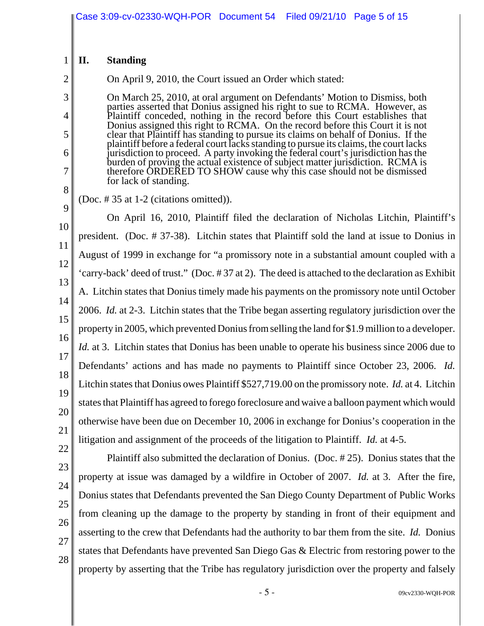#### 1 **II. Standing**

On April 9, 2010, the Court issued an Order which stated:

On March 25, 2010, at oral argument on Defendants' Motion to Dismiss, both parties asserted that Donius assigned his right to sue to RCMA. However, as Plaintiff conceded, nothing in the record before this Court establishes that Donius assigned this right to RCMA. On the record before this Court it is not clear that Plaintiff has standing to pursue its claims on behalf of Donius. If the plaintiff before a federal court lacks standing to pursue its claims, the court lacks jurisdiction to proceed. A party invoking the federal court's jurisdiction has the burden of proving the actual existence of subject matter jurisdiction. RCMA is therefore ORDERED TO SHOW cause why this case should not be dismissed for lack of standing.

8

2

3

4

5

6

7

(Doc. # 35 at 1-2 (citations omitted)).

9 10 11 12 13 14 15 16 17 18 19 20 On April 16, 2010, Plaintiff filed the declaration of Nicholas Litchin, Plaintiff's president. (Doc. # 37-38). Litchin states that Plaintiff sold the land at issue to Donius in August of 1999 in exchange for "a promissory note in a substantial amount coupled with a 'carry-back' deed of trust." (Doc. # 37 at 2). The deed is attached to the declaration as Exhibit A. Litchin states that Donius timely made his payments on the promissory note until October 2006. *Id.* at 2-3. Litchin states that the Tribe began asserting regulatory jurisdiction over the property in 2005, which prevented Donius from selling the land for \$1.9 million to a developer. *Id.* at 3. Litchin states that Donius has been unable to operate his business since 2006 due to Defendants' actions and has made no payments to Plaintiff since October 23, 2006. *Id.* Litchin states that Donius owes Plaintiff \$527,719.00 on the promissory note. *Id.* at 4. Litchin states that Plaintiff has agreed to forego foreclosure and waive a balloon payment which would otherwise have been due on December 10, 2006 in exchange for Donius's cooperation in the litigation and assignment of the proceeds of the litigation to Plaintiff. *Id.* at 4-5.

28

Plaintiff also submitted the declaration of Donius. (Doc. # 25). Donius states that the property at issue was damaged by a wildfire in October of 2007. *Id.* at 3. After the fire, Donius states that Defendants prevented the San Diego County Department of Public Works from cleaning up the damage to the property by standing in front of their equipment and asserting to the crew that Defendants had the authority to bar them from the site. *Id.* Donius states that Defendants have prevented San Diego Gas & Electric from restoring power to the property by asserting that the Tribe has regulatory jurisdiction over the property and falsely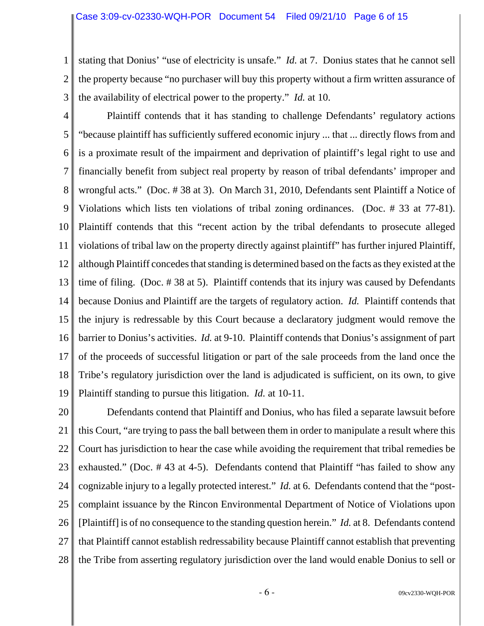1 2 3 stating that Donius' "use of electricity is unsafe." *Id.* at 7. Donius states that he cannot sell the property because "no purchaser will buy this property without a firm written assurance of the availability of electrical power to the property." *Id.* at 10.

4 5 6 7 8 9 10 11 12 13 14 15 16 17 18 19 Plaintiff contends that it has standing to challenge Defendants' regulatory actions "because plaintiff has sufficiently suffered economic injury ... that ... directly flows from and is a proximate result of the impairment and deprivation of plaintiff's legal right to use and financially benefit from subject real property by reason of tribal defendants' improper and wrongful acts." (Doc. # 38 at 3). On March 31, 2010, Defendants sent Plaintiff a Notice of Violations which lists ten violations of tribal zoning ordinances. (Doc. # 33 at 77-81). Plaintiff contends that this "recent action by the tribal defendants to prosecute alleged violations of tribal law on the property directly against plaintiff" has further injured Plaintiff, although Plaintiff concedes that standing is determined based on the facts as they existed at the time of filing. (Doc. # 38 at 5). Plaintiff contends that its injury was caused by Defendants because Donius and Plaintiff are the targets of regulatory action. *Id.* Plaintiff contends that the injury is redressable by this Court because a declaratory judgment would remove the barrier to Donius's activities. *Id.* at 9-10. Plaintiff contends that Donius's assignment of part of the proceeds of successful litigation or part of the sale proceeds from the land once the Tribe's regulatory jurisdiction over the land is adjudicated is sufficient, on its own, to give Plaintiff standing to pursue this litigation. *Id.* at 10-11.

20 21 22 23 24 25 26 27 28 Defendants contend that Plaintiff and Donius, who has filed a separate lawsuit before this Court, "are trying to pass the ball between them in order to manipulate a result where this Court has jurisdiction to hear the case while avoiding the requirement that tribal remedies be exhausted." (Doc. # 43 at 4-5). Defendants contend that Plaintiff "has failed to show any cognizable injury to a legally protected interest." *Id.* at 6. Defendants contend that the "postcomplaint issuance by the Rincon Environmental Department of Notice of Violations upon [Plaintiff] is of no consequence to the standing question herein." *Id.* at 8. Defendants contend that Plaintiff cannot establish redressability because Plaintiff cannot establish that preventing the Tribe from asserting regulatory jurisdiction over the land would enable Donius to sell or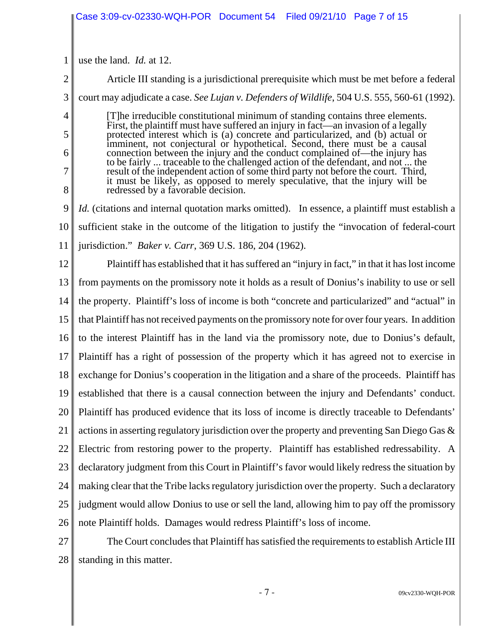|    | Case 3:09-cv-02330-WQH-POR  Document 54  Filed 09/21/10  Page 7 of 15                                                                                                                                                                          |  |  |
|----|------------------------------------------------------------------------------------------------------------------------------------------------------------------------------------------------------------------------------------------------|--|--|
|    |                                                                                                                                                                                                                                                |  |  |
| 1  | use the land. <i>Id.</i> at 12.                                                                                                                                                                                                                |  |  |
| 2  | Article III standing is a jurisdictional prerequisite which must be met before a federal                                                                                                                                                       |  |  |
| 3  | court may adjudicate a case. See Lujan v. Defenders of Wildlife, 504 U.S. 555, 560-61 (1992).                                                                                                                                                  |  |  |
| 4  | [T] he irreducible constitutional minimum of standing contains three elements.                                                                                                                                                                 |  |  |
| 5  | First, the plaintiff must have suffered an injury in fact—an invasion of a legally protected interest which is (a) concrete and particularized, and (b) actual or<br>imminent, not conjectural or hypothetical. Second, there must be a causal |  |  |
| 6  | connection between the injury and the conduct complained of—the injury has<br>to be fairly  traceable to the challenged action of the defendant, and not  the                                                                                  |  |  |
| 7  | result of the independent action of some third party not before the court. Third,<br>it must be likely, as opposed to merely speculative, that the injury will be                                                                              |  |  |
| 8  | redressed by a favorable decision.                                                                                                                                                                                                             |  |  |
| 9  | <i>Id.</i> (citations and internal quotation marks omitted). In essence, a plaintiff must establish a                                                                                                                                          |  |  |
| 10 | sufficient stake in the outcome of the litigation to justify the "invocation of federal-court"                                                                                                                                                 |  |  |
| 11 | jurisdiction." <i>Baker v. Carr</i> , 369 U.S. 186, 204 (1962).                                                                                                                                                                                |  |  |
| 12 | Plaintiff has established that it has suffered an "injury in fact," in that it has lost income                                                                                                                                                 |  |  |
| 13 | from payments on the promissory note it holds as a result of Donius's inability to use or sell                                                                                                                                                 |  |  |
| 14 | the property. Plaintiff's loss of income is both "concrete and particularized" and "actual" in                                                                                                                                                 |  |  |
| 15 | that Plaintiff has not received payments on the promissory note for over four years. In addition                                                                                                                                               |  |  |
| 16 | to the interest Plaintiff has in the land via the promissory note, due to Donius's default,                                                                                                                                                    |  |  |
|    | 17    Plaintiff has a right of possession of the property which it has agreed not to exercise in                                                                                                                                               |  |  |
| 18 | exchange for Donius's cooperation in the litigation and a share of the proceeds. Plaintiff has                                                                                                                                                 |  |  |
| 19 | established that there is a causal connection between the injury and Defendants' conduct.                                                                                                                                                      |  |  |
| 20 | Plaintiff has produced evidence that its loss of income is directly traceable to Defendants'                                                                                                                                                   |  |  |
| 21 | actions in asserting regulatory jurisdiction over the property and preventing San Diego Gas &                                                                                                                                                  |  |  |
| 22 | Electric from restoring power to the property. Plaintiff has established redressability. A                                                                                                                                                     |  |  |
| 23 | declaratory judgment from this Court in Plaintiff's favor would likely redress the situation by                                                                                                                                                |  |  |
| 24 | making clear that the Tribe lacks regulatory jurisdiction over the property. Such a declaratory                                                                                                                                                |  |  |
| 25 | judgment would allow Donius to use or sell the land, allowing him to pay off the promissory                                                                                                                                                    |  |  |
| 26 | note Plaintiff holds. Damages would redress Plaintiff's loss of income.                                                                                                                                                                        |  |  |
| 27 | The Court concludes that Plaintiff has satisfied the requirements to establish Article III                                                                                                                                                     |  |  |
| 28 | standing in this matter.                                                                                                                                                                                                                       |  |  |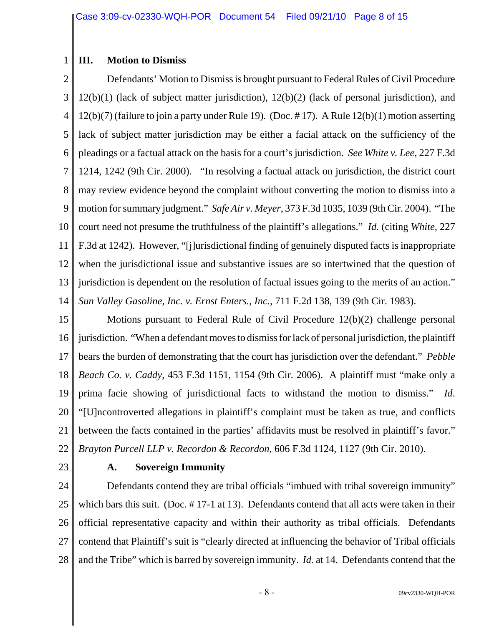### **III. Motion to Dismiss**

1

2 3 4 5 6 7 8 9 10 11 12 13 14 Defendants' Motion to Dismiss is brought pursuant to Federal Rules of Civil Procedure 12(b)(1) (lack of subject matter jurisdiction), 12(b)(2) (lack of personal jurisdiction), and 12(b)(7) (failure to join a party under Rule 19). (Doc. # 17). A Rule 12(b)(1) motion asserting lack of subject matter jurisdiction may be either a facial attack on the sufficiency of the pleadings or a factual attack on the basis for a court's jurisdiction. *See White v. Lee*, 227 F.3d 1214, 1242 (9th Cir. 2000). "In resolving a factual attack on jurisdiction, the district court may review evidence beyond the complaint without converting the motion to dismiss into a motion for summary judgment." *Safe Air v. Meyer*, 373 F.3d 1035, 1039 (9th Cir. 2004). "The court need not presume the truthfulness of the plaintiff's allegations." *Id.* (citing *White*, 227 F.3d at 1242). However, "[j]urisdictional finding of genuinely disputed facts is inappropriate when the jurisdictional issue and substantive issues are so intertwined that the question of jurisdiction is dependent on the resolution of factual issues going to the merits of an action." *Sun Valley Gasoline, Inc. v. Ernst Enters., Inc.*, 711 F.2d 138, 139 (9th Cir. 1983).

15 16 17 18 19 20 21 22 Motions pursuant to Federal Rule of Civil Procedure 12(b)(2) challenge personal jurisdiction. "When a defendant moves to dismiss for lack of personal jurisdiction, the plaintiff bears the burden of demonstrating that the court has jurisdiction over the defendant." *Pebble Beach Co. v. Caddy*, 453 F.3d 1151, 1154 (9th Cir. 2006). A plaintiff must "make only a prima facie showing of jurisdictional facts to withstand the motion to dismiss." *Id*. "[U]ncontroverted allegations in plaintiff's complaint must be taken as true, and conflicts between the facts contained in the parties' affidavits must be resolved in plaintiff's favor." *Brayton Purcell LLP v. Recordon & Recordon*, 606 F.3d 1124, 1127 (9th Cir. 2010).

23

### **A. Sovereign Immunity**

24 25 26 27 28 Defendants contend they are tribal officials "imbued with tribal sovereign immunity" which bars this suit. (Doc. #17-1 at 13). Defendants contend that all acts were taken in their official representative capacity and within their authority as tribal officials. Defendants contend that Plaintiff's suit is "clearly directed at influencing the behavior of Tribal officials and the Tribe" which is barred by sovereign immunity. *Id.* at 14. Defendants contend that the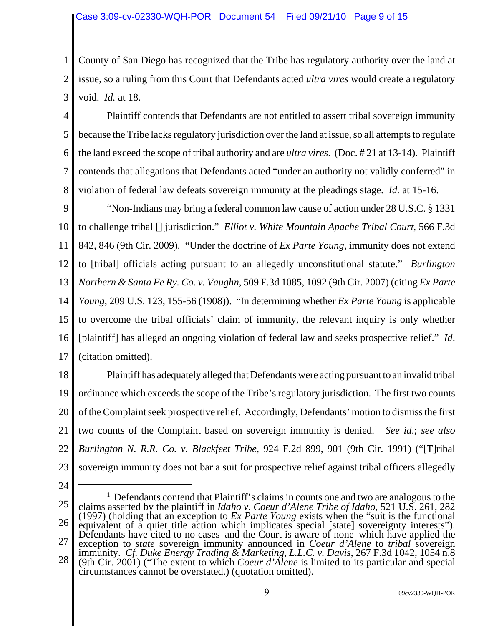1 2 3 County of San Diego has recognized that the Tribe has regulatory authority over the land at issue, so a ruling from this Court that Defendants acted *ultra vires* would create a regulatory void. *Id.* at 18.

4 5 6 7 8 Plaintiff contends that Defendants are not entitled to assert tribal sovereign immunity because the Tribe lacks regulatory jurisdiction over the land at issue, so all attempts to regulate the land exceed the scope of tribal authority and are *ultra vires*. (Doc. # 21 at 13-14). Plaintiff contends that allegations that Defendants acted "under an authority not validly conferred" in violation of federal law defeats sovereign immunity at the pleadings stage. *Id.* at 15-16.

9 10 11 12 13 14 15 16 17 "Non-Indians may bring a federal common law cause of action under 28 U.S.C. § 1331 to challenge tribal [] jurisdiction." *Elliot v. White Mountain Apache Tribal Court*, 566 F.3d 842, 846 (9th Cir. 2009). "Under the doctrine of *Ex Parte Young*, immunity does not extend to [tribal] officials acting pursuant to an allegedly unconstitutional statute." *Burlington Northern & Santa Fe Ry. Co. v. Vaughn*, 509 F.3d 1085, 1092 (9th Cir. 2007) (citing *Ex Parte Young*, 209 U.S. 123, 155-56 (1908)). "In determining whether *Ex Parte Young* is applicable to overcome the tribal officials' claim of immunity, the relevant inquiry is only whether [plaintiff] has alleged an ongoing violation of federal law and seeks prospective relief." *Id*. (citation omitted).

18 19 20 21 22 23 Plaintiff has adequately alleged that Defendants were acting pursuant to an invalid tribal ordinance which exceeds the scope of the Tribe's regulatory jurisdiction. The first two counts of the Complaint seek prospective relief. Accordingly, Defendants' motion to dismiss the first two counts of the Complaint based on sovereign immunity is denied.<sup>1</sup> See id.; see also *Burlington N. R.R. Co. v. Blackfeet Tribe*, 924 F.2d 899, 901 (9th Cir. 1991) ("[T]ribal sovereign immunity does not bar a suit for prospective relief against tribal officers allegedly

24

25 26 27 28 <sup>1</sup> Defendants contend that Plaintiff's claims in counts one and two are analogous to the claims asserted by the plaintiff in *Idaho v. Coeur d'Alene Tribe of Idaho*, 521 U.S. 261, 282 (1997) (holding that an exception to *Ex Parte Young* exists when the "suit is the functional equivalent of a quiet title action which implicates special [state] sovereignty interests"). Defendants have cited to no cases–and the Court is aware of none–which have applied the exception to *state* sovereign immunity announced in *Coeur d'Alene* to *tribal* sovereign immunity. *Cf. Duke Energy Trading & Marketing, L.L.C. v. Davis*, 267 F.3d 1042, 1054 n.8 (9th Cir. 2001) ("The extent to which *Coeur d'Alene* is limited to its particular and special circumstances cannot be overstated.) (quotation omitted).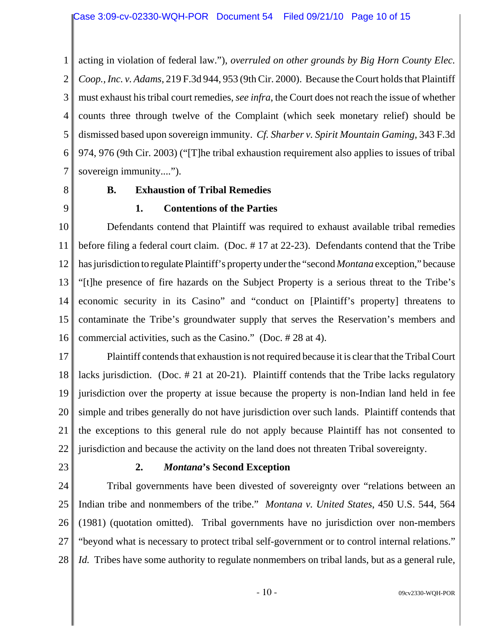1 2 3 4 5 6 7 acting in violation of federal law."), *overruled on other grounds by Big Horn County Elec. Coop., Inc. v. Adams*, 219 F.3d 944, 953 (9th Cir. 2000). Because the Court holds that Plaintiff must exhaust his tribal court remedies, *see infra*, the Court does not reach the issue of whether counts three through twelve of the Complaint (which seek monetary relief) should be dismissed based upon sovereign immunity. *Cf. Sharber v. Spirit Mountain Gaming*, 343 F.3d 974, 976 (9th Cir. 2003) ("[T]he tribal exhaustion requirement also applies to issues of tribal sovereign immunity....").

8

9

## **B. Exhaustion of Tribal Remedies**

# **1. Contentions of the Parties**

10 11 12 13 14 15 16 Defendants contend that Plaintiff was required to exhaust available tribal remedies before filing a federal court claim. (Doc. # 17 at 22-23). Defendants contend that the Tribe has jurisdiction to regulate Plaintiff's property under the "second *Montana* exception," because "[t]he presence of fire hazards on the Subject Property is a serious threat to the Tribe's economic security in its Casino" and "conduct on [Plaintiff's property] threatens to contaminate the Tribe's groundwater supply that serves the Reservation's members and commercial activities, such as the Casino." (Doc. # 28 at 4).

17 18 19 20 21 22 Plaintiff contends that exhaustion is not required because it is clear that the Tribal Court lacks jurisdiction. (Doc. # 21 at 20-21). Plaintiff contends that the Tribe lacks regulatory jurisdiction over the property at issue because the property is non-Indian land held in fee simple and tribes generally do not have jurisdiction over such lands. Plaintiff contends that the exceptions to this general rule do not apply because Plaintiff has not consented to jurisdiction and because the activity on the land does not threaten Tribal sovereignty.

23

### **2.** *Montana***'s Second Exception**

24 25 26 27 28 Tribal governments have been divested of sovereignty over "relations between an Indian tribe and nonmembers of the tribe." *Montana v. United States*, 450 U.S. 544, 564 (1981) (quotation omitted). Tribal governments have no jurisdiction over non-members "beyond what is necessary to protect tribal self-government or to control internal relations." *Id.* Tribes have some authority to regulate nonmembers on tribal lands, but as a general rule,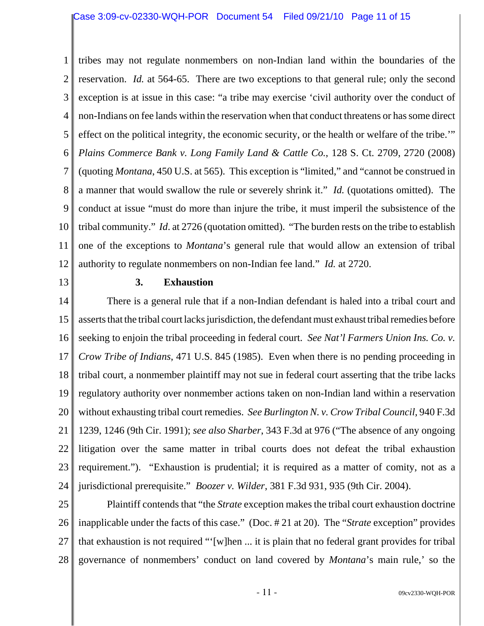1 2 3 4 5 6 7 8 9 10 11 12 tribes may not regulate nonmembers on non-Indian land within the boundaries of the reservation. *Id.* at 564-65. There are two exceptions to that general rule; only the second exception is at issue in this case: "a tribe may exercise 'civil authority over the conduct of non-Indians on fee lands within the reservation when that conduct threatens or has some direct effect on the political integrity, the economic security, or the health or welfare of the tribe.'" *Plains Commerce Bank v. Long Family Land & Cattle Co.*, 128 S. Ct. 2709, 2720 (2008) (quoting *Montana*, 450 U.S. at 565). This exception is "limited," and "cannot be construed in a manner that would swallow the rule or severely shrink it." *Id.* (quotations omitted). The conduct at issue "must do more than injure the tribe, it must imperil the subsistence of the tribal community." *Id*. at 2726 (quotation omitted). "The burden rests on the tribe to establish one of the exceptions to *Montana*'s general rule that would allow an extension of tribal authority to regulate nonmembers on non-Indian fee land." *Id.* at 2720.

13

#### **3. Exhaustion**

14 15 16 17 18 19 20 21 22 23 24 There is a general rule that if a non-Indian defendant is haled into a tribal court and asserts that the tribal court lacks jurisdiction, the defendant must exhaust tribal remedies before seeking to enjoin the tribal proceeding in federal court. *See Nat'l Farmers Union Ins. Co. v. Crow Tribe of Indians*, 471 U.S. 845 (1985). Even when there is no pending proceeding in tribal court, a nonmember plaintiff may not sue in federal court asserting that the tribe lacks regulatory authority over nonmember actions taken on non-Indian land within a reservation without exhausting tribal court remedies. *See Burlington N. v. Crow Tribal Council*, 940 F.3d 1239, 1246 (9th Cir. 1991); *see also Sharber*, 343 F.3d at 976 ("The absence of any ongoing litigation over the same matter in tribal courts does not defeat the tribal exhaustion requirement."). "Exhaustion is prudential; it is required as a matter of comity, not as a jurisdictional prerequisite." *Boozer v. Wilder*, 381 F.3d 931, 935 (9th Cir. 2004).

25 26 27 28 Plaintiff contends that "the *Strate* exception makes the tribal court exhaustion doctrine inapplicable under the facts of this case." (Doc. # 21 at 20). The "*Strate* exception" provides that exhaustion is not required "'[w]hen ... it is plain that no federal grant provides for tribal governance of nonmembers' conduct on land covered by *Montana*'s main rule,' so the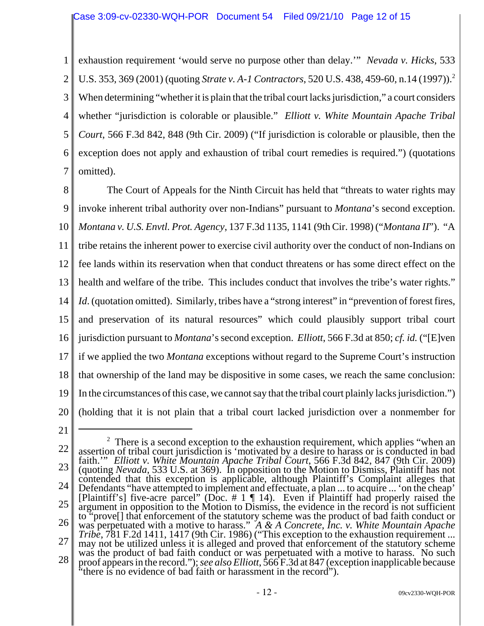1 2 3 4 5 6 7 exhaustion requirement 'would serve no purpose other than delay.'" *Nevada v. Hicks*, 533 U.S. 353, 369 (2001) (quoting *Strate v. A-1 Contractors*, 520 U.S. 438, 459-60, n.14 (1997)).2 When determining "whether it is plain that the tribal court lacks jurisdiction," a court considers whether "jurisdiction is colorable or plausible." *Elliott v. White Mountain Apache Tribal Court*, 566 F.3d 842, 848 (9th Cir. 2009) ("If jurisdiction is colorable or plausible, then the exception does not apply and exhaustion of tribal court remedies is required.") (quotations omitted).

8 9 10 11 12 13 14 15 16 17 18 19 20 The Court of Appeals for the Ninth Circuit has held that "threats to water rights may invoke inherent tribal authority over non-Indians" pursuant to *Montana*'s second exception. *Montana v. U.S. Envtl. Prot. Agency*, 137 F.3d 1135, 1141 (9th Cir. 1998) ("*Montana II*"). "A tribe retains the inherent power to exercise civil authority over the conduct of non-Indians on fee lands within its reservation when that conduct threatens or has some direct effect on the health and welfare of the tribe. This includes conduct that involves the tribe's water rights." *Id.* (quotation omitted). Similarly, tribes have a "strong interest" in "prevention of forest fires, and preservation of its natural resources" which could plausibly support tribal court jurisdiction pursuant to *Montana*'s second exception. *Elliott*, 566 F.3d at 850; *cf. id.* ("[E]ven if we applied the two *Montana* exceptions without regard to the Supreme Court's instruction that ownership of the land may be dispositive in some cases, we reach the same conclusion: In the circumstances of this case, we cannot say that the tribal court plainly lacks jurisdiction.") (holding that it is not plain that a tribal court lacked jurisdiction over a nonmember for

21

<sup>22</sup> 23 24 25 26 27 28  $2$  There is a second exception to the exhaustion requirement, which applies "when an assertion of tribal court jurisdiction is 'motivated by a desire to harass or is conducted in bad faith.'" *Elliott v. White Mountain Apache Tribal Court*, 566 F.3d 842, 847 (9th Cir. 2009) (quoting *Nevada*, 533 U.S. at 369). In opposition to the Motion to Dismiss, Plaintiff has not contended that this exception is applicable, although Plaintiff's Complaint alleges that Defendants "have attempted to implement and effectuate, a plan ... to acquire ... 'on the cheap' [Plaintiff's] five-acre parcel" (Doc.  $\# 1 \P 14$ ). Even if Plaintiff had properly raised the argument in opposition to the Motion to Dismiss, the evidence in the record is not sufficient to "prove[] that enforcement of the statutory scheme was the product of bad faith conduct or was perpetuated with a motive to harass." *A & A Concrete, Inc. v. White Mountain Apache Tribe*, 781 F.2d 1411, 1417 (9th Cir. 1986) ("This exception to the exhaustion requirement ... may not be utilized unless it is alleged and proved that enforcement of the statutory scheme was the product of bad faith conduct or was perpetuated with a motive to harass. No such proof appears in the record."); *see also Elliott*, 566 F.3d at 847 (exception inapplicable because "there is no evidence of bad faith or harassment in the record").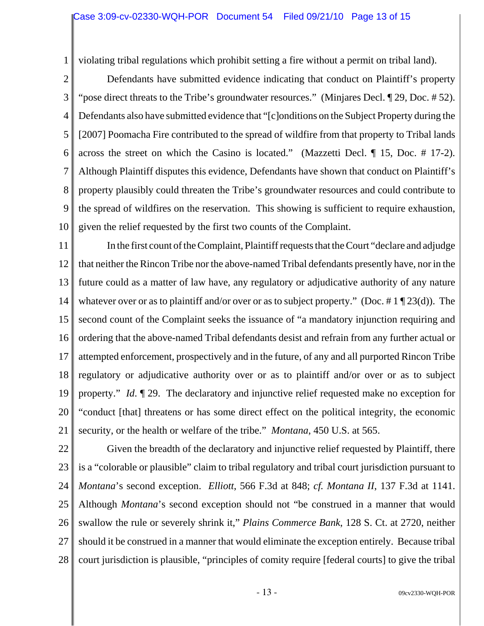1

violating tribal regulations which prohibit setting a fire without a permit on tribal land).

2 3 4 5 6 7 8 9 10 Defendants have submitted evidence indicating that conduct on Plaintiff's property "pose direct threats to the Tribe's groundwater resources." (Minjares Decl. ¶ 29, Doc. # 52). Defendants also have submitted evidence that "[c]onditions on the Subject Property during the [2007] Poomacha Fire contributed to the spread of wildfire from that property to Tribal lands across the street on which the Casino is located." (Mazzetti Decl. ¶ 15, Doc. # 17-2). Although Plaintiff disputes this evidence, Defendants have shown that conduct on Plaintiff's property plausibly could threaten the Tribe's groundwater resources and could contribute to the spread of wildfires on the reservation. This showing is sufficient to require exhaustion, given the relief requested by the first two counts of the Complaint.

11 12 13 14 15 16 17 18 19 20 21 In the first count of the Complaint, Plaintiff requests that the Court "declare and adjudge that neither the Rincon Tribe nor the above-named Tribal defendants presently have, nor in the future could as a matter of law have, any regulatory or adjudicative authority of any nature whatever over or as to plaintiff and/or over or as to subject property." (Doc. #1 ¶ 23(d)). The second count of the Complaint seeks the issuance of "a mandatory injunction requiring and ordering that the above-named Tribal defendants desist and refrain from any further actual or attempted enforcement, prospectively and in the future, of any and all purported Rincon Tribe regulatory or adjudicative authority over or as to plaintiff and/or over or as to subject property." *Id*. ¶ 29. The declaratory and injunctive relief requested make no exception for "conduct [that] threatens or has some direct effect on the political integrity, the economic security, or the health or welfare of the tribe." *Montana*, 450 U.S. at 565.

22 23 24 25 26 27 28 Given the breadth of the declaratory and injunctive relief requested by Plaintiff, there is a "colorable or plausible" claim to tribal regulatory and tribal court jurisdiction pursuant to *Montana*'s second exception. *Elliott*, 566 F.3d at 848; *cf. Montana II*, 137 F.3d at 1141. Although *Montana*'s second exception should not "be construed in a manner that would swallow the rule or severely shrink it," *Plains Commerce Bank*, 128 S. Ct. at 2720, neither should it be construed in a manner that would eliminate the exception entirely. Because tribal court jurisdiction is plausible, "principles of comity require [federal courts] to give the tribal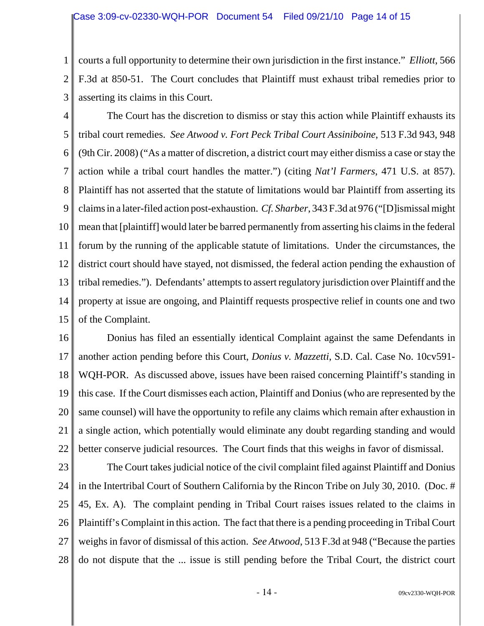1 2 3 courts a full opportunity to determine their own jurisdiction in the first instance." *Elliott*, 566 F.3d at 850-51. The Court concludes that Plaintiff must exhaust tribal remedies prior to asserting its claims in this Court.

4 5 6 7 8 9 10 11 12 13 14 15 The Court has the discretion to dismiss or stay this action while Plaintiff exhausts its tribal court remedies. *See Atwood v. Fort Peck Tribal Court Assiniboine*, 513 F.3d 943, 948 (9th Cir. 2008) ("As a matter of discretion, a district court may either dismiss a case or stay the action while a tribal court handles the matter.") (citing *Nat'l Farmers*, 471 U.S. at 857). Plaintiff has not asserted that the statute of limitations would bar Plaintiff from asserting its claims in a later-filed action post-exhaustion. *Cf. Sharber*, 343 F.3d at 976 ("[D]ismissal might mean that [plaintiff] would later be barred permanently from asserting his claims in the federal forum by the running of the applicable statute of limitations. Under the circumstances, the district court should have stayed, not dismissed, the federal action pending the exhaustion of tribal remedies."). Defendants' attempts to assert regulatory jurisdiction over Plaintiff and the property at issue are ongoing, and Plaintiff requests prospective relief in counts one and two of the Complaint.

16 17 18 19 20 21 22 Donius has filed an essentially identical Complaint against the same Defendants in another action pending before this Court, *Donius v. Mazzetti*, S.D. Cal. Case No. 10cv591- WQH-POR. As discussed above, issues have been raised concerning Plaintiff's standing in this case. If the Court dismisses each action, Plaintiff and Donius (who are represented by the same counsel) will have the opportunity to refile any claims which remain after exhaustion in a single action, which potentially would eliminate any doubt regarding standing and would better conserve judicial resources. The Court finds that this weighs in favor of dismissal.

23 24 25 26 27 28 The Court takes judicial notice of the civil complaint filed against Plaintiff and Donius in the Intertribal Court of Southern California by the Rincon Tribe on July 30, 2010. (Doc. # 45, Ex. A). The complaint pending in Tribal Court raises issues related to the claims in Plaintiff's Complaint in this action. The fact that there is a pending proceeding in Tribal Court weighs in favor of dismissal of this action. *See Atwood*, 513 F.3d at 948 ("Because the parties do not dispute that the ... issue is still pending before the Tribal Court, the district court